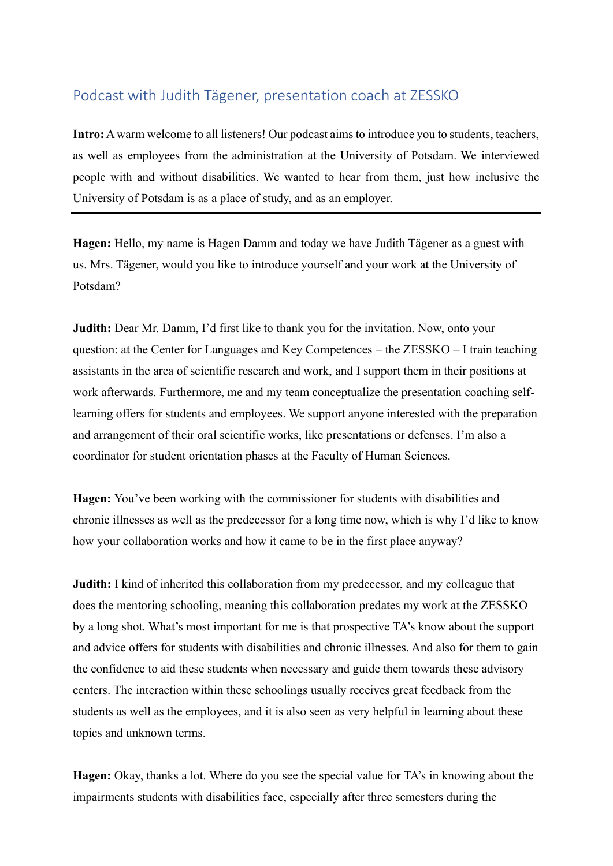## Podcast with Judith Tägener, presentation coach at ZESSKO

**Intro:** A warm welcome to all listeners! Our podcast aims to introduce you to students, teachers, as well as employees from the administration at the University of Potsdam. We interviewed people with and without disabilities. We wanted to hear from them, just how inclusive the University of Potsdam is as a place of study, and as an employer.

**Hagen:** Hello, my name is Hagen Damm and today we have Judith Tägener as a guest with us. Mrs. Tägener, would you like to introduce yourself and your work at the University of Potsdam?

**Judith:** Dear Mr. Damm, I'd first like to thank you for the invitation. Now, onto your question: at the Center for Languages and Key Competences – the ZESSKO – I train teaching assistants in the area of scientific research and work, and I support them in their positions at work afterwards. Furthermore, me and my team conceptualize the presentation coaching selflearning offers for students and employees. We support anyone interested with the preparation and arrangement of their oral scientific works, like presentations or defenses. I'm also a coordinator for student orientation phases at the Faculty of Human Sciences.

**Hagen:** You've been working with the commissioner for students with disabilities and chronic illnesses as well as the predecessor for a long time now, which is why I'd like to know how your collaboration works and how it came to be in the first place anyway?

**Judith:** I kind of inherited this collaboration from my predecessor, and my colleague that does the mentoring schooling, meaning this collaboration predates my work at the ZESSKO by a long shot. What's most important for me is that prospective TA's know about the support and advice offers for students with disabilities and chronic illnesses. And also for them to gain the confidence to aid these students when necessary and guide them towards these advisory centers. The interaction within these schoolings usually receives great feedback from the students as well as the employees, and it is also seen as very helpful in learning about these topics and unknown terms.

**Hagen:** Okay, thanks a lot. Where do you see the special value for TA's in knowing about the impairments students with disabilities face, especially after three semesters during the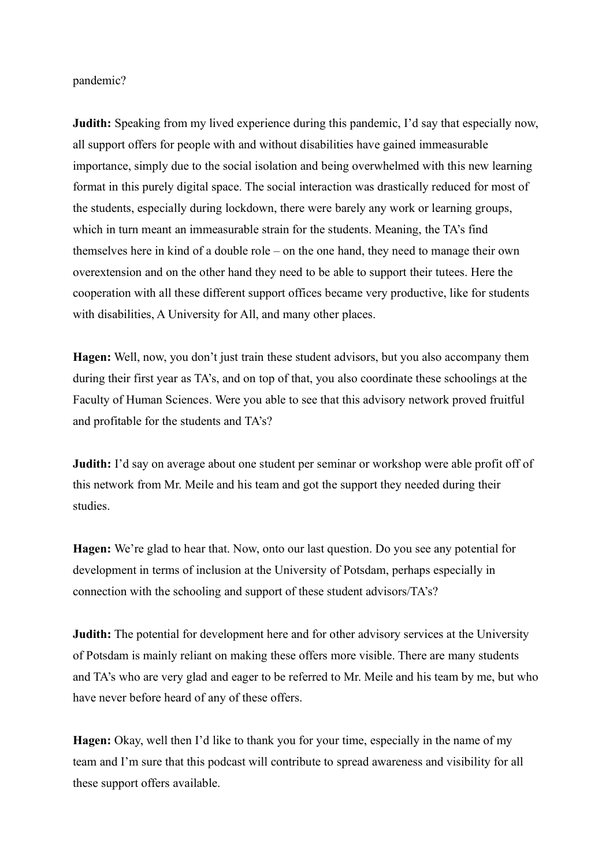pandemic?

**Judith:** Speaking from my lived experience during this pandemic, I'd say that especially now, all support offers for people with and without disabilities have gained immeasurable importance, simply due to the social isolation and being overwhelmed with this new learning format in this purely digital space. The social interaction was drastically reduced for most of the students, especially during lockdown, there were barely any work or learning groups, which in turn meant an immeasurable strain for the students. Meaning, the TA's find themselves here in kind of a double role – on the one hand, they need to manage their own overextension and on the other hand they need to be able to support their tutees. Here the cooperation with all these different support offices became very productive, like for students with disabilities, A University for All, and many other places.

**Hagen:** Well, now, you don't just train these student advisors, but you also accompany them during their first year as TA's, and on top of that, you also coordinate these schoolings at the Faculty of Human Sciences. Were you able to see that this advisory network proved fruitful and profitable for the students and TA's?

**Judith:** I'd say on average about one student per seminar or workshop were able profit off of this network from Mr. Meile and his team and got the support they needed during their studies.

**Hagen:** We're glad to hear that. Now, onto our last question. Do you see any potential for development in terms of inclusion at the University of Potsdam, perhaps especially in connection with the schooling and support of these student advisors/TA's?

**Judith:** The potential for development here and for other advisory services at the University of Potsdam is mainly reliant on making these offers more visible. There are many students and TA's who are very glad and eager to be referred to Mr. Meile and his team by me, but who have never before heard of any of these offers.

**Hagen:** Okay, well then I'd like to thank you for your time, especially in the name of my team and I'm sure that this podcast will contribute to spread awareness and visibility for all these support offers available.